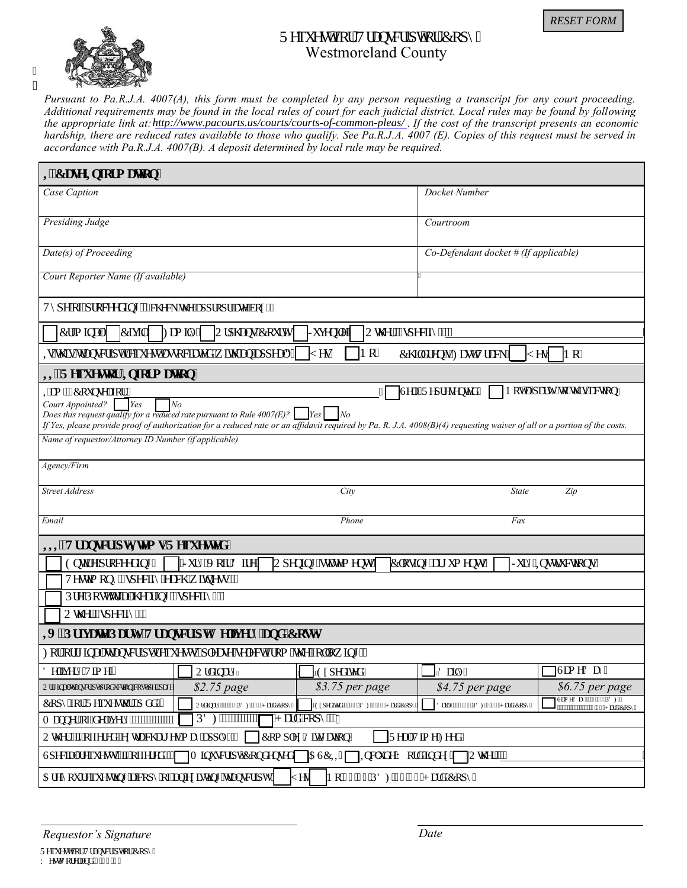

ľ  $\ddot{\phantom{0}}$ 

## Tgs wguv'hqt "Vtcpuetkr v'qt 'Eqr { ' Westmoreland County

*Pursuant to Pa.R.J.A. 4007(A), this form must be completed by any person requesting a transcript for any court proceeding. Additional requirements may be found in the local rules of court for each judicial district. Local rules may be found by following* the appropriate link at: *http://www.pacourts.us/courts/courts-of-common-pleas/*. If the cost of the transcript presents an economic *hardship, there are reduced rates available to those who qualify. See Pa.R.J.A. 4007 (E). Copies of this request must be served in accordance with Pa.R.J.A. 4007(B). A deposit determined by local rule may be required.* 

| <b>KE</b> cug'lighto cvkqp"                                                                                                                                                                    |                                       |                                                 |  |  |  |
|------------------------------------------------------------------------------------------------------------------------------------------------------------------------------------------------|---------------------------------------|-------------------------------------------------|--|--|--|
| Case Caption                                                                                                                                                                                   | Docket Number                         |                                                 |  |  |  |
|                                                                                                                                                                                                |                                       |                                                 |  |  |  |
| Presiding Judge                                                                                                                                                                                | Courtroom                             |                                                 |  |  |  |
| Date(s) of Proceeding                                                                                                                                                                          | Co-Defendant docket # (If applicable) |                                                 |  |  |  |
| Court Reporter Name (If available)                                                                                                                                                             |                                       |                                                 |  |  |  |
| V{r g"qh'r tqeggf kpi <** ej gen'iy g"crrtqrtkcvg"dqz+"                                                                                                                                        |                                       |                                                 |  |  |  |
| Etio kpcn' Ekxkn'   Ho kn{']<br>$ Q$ trj cpu) Eqwt $v$ '<br> Qy gt <*ur gekh{ +" <u>"</u><br>Lwgpkg'                                                                                           |                                       |                                                 |  |  |  |
| Pq"<br>Ki'ij ku'vtcpuetk v'tgs wguv'cuuqekcygf 'y kj 'cp'crrgcnA''<br>$\llbracket$ gu"<br>Ej krf tgp)u''Hcuv''Vtcem' <br>Pq''<br>$\mathbb{I}$ gu                                               |                                       |                                                 |  |  |  |
| <b>HOT</b> gs wguvqt 'Kphqt o c vkqp''                                                                                                                                                         |                                       |                                                 |  |  |  |
| Ugnh'Tgr tgugpvgf " Pqv'c'r ctv{ "vq'y ku''cevkqp"<br>Kco ""Eqwpugnltru"<br>Court Appointed?<br>Yes<br>No<br>Does this request qualify for a reduced rate pursuant to Rule $4007(E)$ ?<br>l No |                                       |                                                 |  |  |  |
| If Yes, please provide proof of authorization for a reduced rate or an affidavit required by Pa. R. J.A. 4008(B)(4) requesting waiver of all or a portion of the costs.                        |                                       |                                                 |  |  |  |
| Name of requestor/Attorney ID Number (if applicable)                                                                                                                                           |                                       |                                                 |  |  |  |
| Agency/Firm                                                                                                                                                                                    |                                       |                                                 |  |  |  |
| <b>Street Address</b><br>City                                                                                                                                                                  | State                                 | Zip                                             |  |  |  |
| Email<br>Phone                                                                                                                                                                                 | Fax                                   |                                                 |  |  |  |
| <b>KKOVt cpuet k v Kgo u'T gs wguygf "</b>                                                                                                                                                     |                                       |                                                 |  |  |  |
| Gpwtg'r tqeggf kpi "<br>"Lut { "Xqk 'F kg' <br>Erqukpi "cti wo gpwi"<br>Lut { "Kpunt we we pu"<br> Qr gpkpi "uvcvgo gpwi"                                                                      |                                       |                                                 |  |  |  |
| Vguvko qp{"*ur gekh{"gcej "y kypguu+<"                                                                                                                                                         |                                       |                                                 |  |  |  |
| RtglRquv'vtkcn'j gctkpi "*ur gekh{ + "                                                                                                                                                         |                                       |                                                 |  |  |  |
| Qy gt "ur gelh $\left\{ \pm \right\}$                                                                                                                                                          |                                       |                                                 |  |  |  |
| KX0Rt kxc vg'Rct v{ 'Vt cpuet kr v'F grkx gt { 'cpf 'E quv''                                                                                                                                   |                                       |                                                 |  |  |  |
| Hqt"qtki kpcn'vtcpuetkrytgs wguvu." r rgcug'ugrgev'htqo "yj g'hqmqy kpi <                                                                                                                      |                                       |                                                 |  |  |  |
| F grkx gt { "Vko g $\leq$ "<br>Qtf kpct {<br>"Gzr gf kgf"                                                                                                                                      | "F ckn{"                              | ]Uco g'F c{"                                    |  |  |  |
| \$2.75 page<br>\$3.75 per page<br>Qtki kpcn'vtcpuetkr v'r tqf vevkqp''equv'r gt'r cig                                                                                                          | \$4.75 per page                       | \$6.75 per page                                 |  |  |  |
| Eqr { $'$ hqt 'T gs wguvqt 0 Cf f $\zeta'$<br>Qtf kpct {<"'072''RF H1097''J ctf ''Eqr {"<br>"Gzr gf kgf <"097"RF HB022"J ctf "Eqr {                                                            | Fckn{<"302'RFHI3047"J ctf'Eqr{'       | Uco g'F c {<"3047'RF HI"<br>"3072"J ctf "Eqr {" |  |  |  |
| <b>RF H</b> *************<br>"J ctf "eqr { """<br>O cppgt"qh'f grkxgt {<""""""""""""""""""                                                                                                     |                                       |                                                 |  |  |  |
| Qvj gt'*Nri'qhhgtgf.' gzvtc''ej cti gu''o c{''crrn{+''   Eqorngz' Nkki cvkqp''<br>TgcriVko g'Hggf"                                                                                             |                                       |                                                 |  |  |  |
| <b>CUEK</b><br>Ur gekcn't gs wguwu' <sup>8</sup> kh'q hhgt gf + "  O kpwuet kr vlEqpf gpugf [<br>$\mu$ K pen $\mu$ g"Y qtf 'kpf gz' $\mu$ Qy gt $\ll$ "                                        |                                       |                                                 |  |  |  |
| Ctg"{qwtgs wguwpi 'c'eqr {'qh'cp'gzkuwpi 'vtcpuetkr vA<br>Pq"&2072'RF HI&2097'J ctf 'Eqr {"<br>gu                                                                                              |                                       |                                                 |  |  |  |